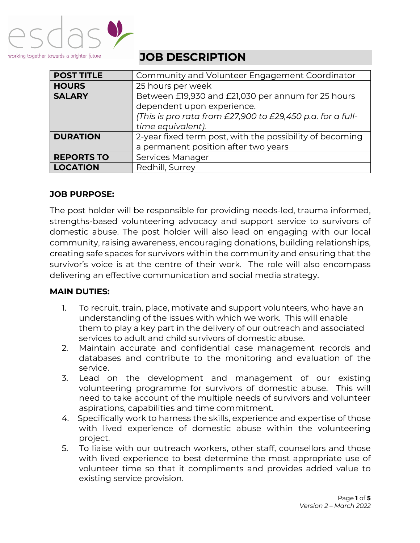

**JOB DESCRIPTION**

| <b>POST TITLE</b> | Community and Volunteer Engagement Coordinator             |
|-------------------|------------------------------------------------------------|
| <b>HOURS</b>      | 25 hours per week                                          |
| <b>SALARY</b>     | Between £19,930 and £21,030 per annum for 25 hours         |
|                   | dependent upon experience.                                 |
|                   | (This is pro rata from £27,900 to £29,450 p.a. for a full- |
|                   | time equivalent).                                          |
| <b>DURATION</b>   | 2-year fixed term post, with the possibility of becoming   |
|                   | a permanent position after two years                       |
| <b>REPORTS TO</b> | Services Manager                                           |
| <b>LOCATION</b>   | Redhill, Surrey                                            |
|                   |                                                            |

## **JOB PURPOSE:**

The post holder will be responsible for providing needs-led, trauma informed, strengths-based volunteering advocacy and support service to survivors of domestic abuse. The post holder will also lead on engaging with our local community, raising awareness, encouraging donations, building relationships, creating safe spaces for survivors within the community and ensuring that the survivor's voice is at the centre of their work. The role will also encompass delivering an effective communication and social media strategy.

## **MAIN DUTIES:**

- 1. To recruit, train, place, motivate and support volunteers, who have an understanding of the issues with which we work. This will enable them to play a key part in the delivery of our outreach and associated services to adult and child survivors of domestic abuse.
- 2. Maintain accurate and confidential case management records and databases and contribute to the monitoring and evaluation of the service.
- 3. Lead on the development and management of our existing volunteering programme for survivors of domestic abuse. This will need to take account of the multiple needs of survivors and volunteer aspirations, capabilities and time commitment.
- 4. Specifically work to harness the skills, experience and expertise of those with lived experience of domestic abuse within the volunteering project.
- 5. To liaise with our outreach workers, other staff, counsellors and those with lived experience to best determine the most appropriate use of volunteer time so that it compliments and provides added value to existing service provision.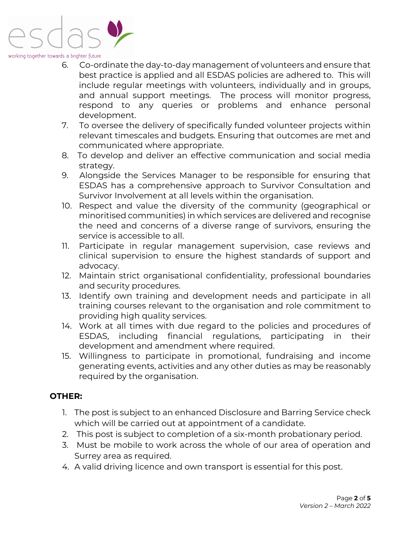

#### working together towards a brighter future

- 6. Co-ordinate the day-to-day management of volunteers and ensure that best practice is applied and all ESDAS policies are adhered to. This will include regular meetings with volunteers, individually and in groups, and annual support meetings. The process will monitor progress, respond to any queries or problems and enhance personal development.
- 7. To oversee the delivery of specifically funded volunteer projects within relevant timescales and budgets. Ensuring that outcomes are met and communicated where appropriate.
- 8. To develop and deliver an effective communication and social media strategy.
- 9. Alongside the Services Manager to be responsible for ensuring that ESDAS has a comprehensive approach to Survivor Consultation and Survivor Involvement at all levels within the organisation.
- 10. Respect and value the diversity of the community (geographical or minoritised communities) in which services are delivered and recognise the need and concerns of a diverse range of survivors, ensuring the service is accessible to all.
- 11. Participate in regular management supervision, case reviews and clinical supervision to ensure the highest standards of support and advocacy.
- 12. Maintain strict organisational confidentiality, professional boundaries and security procedures.
- 13. Identify own training and development needs and participate in all training courses relevant to the organisation and role commitment to providing high quality services.
- 14. Work at all times with due regard to the policies and procedures of ESDAS, including financial regulations, participating in their development and amendment where required.
- 15. Willingness to participate in promotional, fundraising and income generating events, activities and any other duties as may be reasonably required by the organisation.

### **OTHER:**

- 1. The post is subject to an enhanced Disclosure and Barring Service check which will be carried out at appointment of a candidate.
- 2. This post is subject to completion of a six-month probationary period.
- 3. Must be mobile to work across the whole of our area of operation and Surrey area as required.
- 4. A valid driving licence and own transport is essential for this post.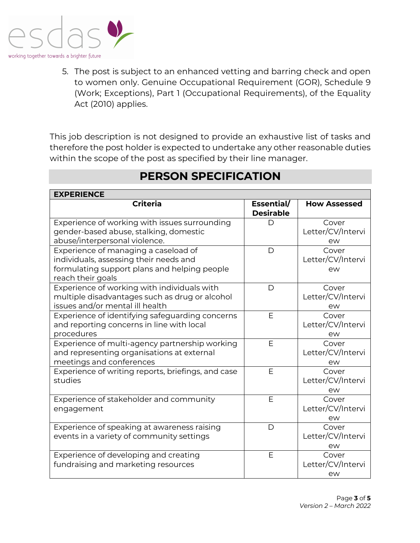

5. The post is subject to an enhanced vetting and barring check and open to women only. Genuine Occupational Requirement (GOR), Schedule 9 (Work; Exceptions), Part 1 (Occupational Requirements), of the Equality Act (2010) applies.

This job description is not designed to provide an exhaustive list of tasks and therefore the post holder is expected to undertake any other reasonable duties within the scope of the post as specified by their line manager.

| <b>EXPERIENCE</b>                                  |                                |                     |  |  |
|----------------------------------------------------|--------------------------------|---------------------|--|--|
| <b>Criteria</b>                                    | Essential/<br><b>Desirable</b> | <b>How Assessed</b> |  |  |
| Experience of working with issues surrounding      | D                              | Cover               |  |  |
| gender-based abuse, stalking, domestic             |                                | Letter/CV/Intervi   |  |  |
| abuse/interpersonal violence.                      |                                | ew                  |  |  |
| Experience of managing a caseload of               | $\mathsf{D}$                   | Cover               |  |  |
| individuals, assessing their needs and             |                                | Letter/CV/Intervi   |  |  |
| formulating support plans and helping people       |                                | ew                  |  |  |
| reach their goals                                  |                                |                     |  |  |
| Experience of working with individuals with        | $\mathsf{D}$                   | Cover               |  |  |
| multiple disadvantages such as drug or alcohol     |                                | Letter/CV/Intervi   |  |  |
| issues and/or mental ill health                    |                                | ew                  |  |  |
| Experience of identifying safeguarding concerns    | E                              | Cover               |  |  |
| and reporting concerns in line with local          |                                | Letter/CV/Intervi   |  |  |
| procedures                                         |                                | ew                  |  |  |
| Experience of multi-agency partnership working     | E                              | Cover               |  |  |
| and representing organisations at external         |                                | Letter/CV/Intervi   |  |  |
| meetings and conferences                           |                                | ew                  |  |  |
| Experience of writing reports, briefings, and case | E                              | Cover               |  |  |
| studies                                            |                                | Letter/CV/Intervi   |  |  |
|                                                    |                                | ew                  |  |  |
| Experience of stakeholder and community            | E                              | Cover               |  |  |
| engagement                                         |                                | Letter/CV/Intervi   |  |  |
|                                                    |                                | ew                  |  |  |
| Experience of speaking at awareness raising        | D                              | Cover               |  |  |
| events in a variety of community settings          |                                | Letter/CV/Intervi   |  |  |
|                                                    |                                | ew                  |  |  |
| Experience of developing and creating              | E                              | Cover               |  |  |
| fundraising and marketing resources                |                                | Letter/CV/Intervi   |  |  |
|                                                    |                                | ew                  |  |  |

# **PERSON SPECIFICATION**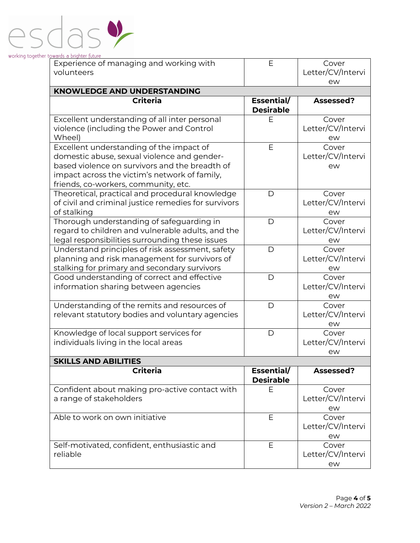

| Experience of managing and working with                                                                                                                                                                                            | E                              | Cover                            |
|------------------------------------------------------------------------------------------------------------------------------------------------------------------------------------------------------------------------------------|--------------------------------|----------------------------------|
| volunteers                                                                                                                                                                                                                         |                                | Letter/CV/Intervi<br>ew          |
| <b>KNOWLEDGE AND UNDERSTANDING</b>                                                                                                                                                                                                 |                                |                                  |
| <b>Criteria</b>                                                                                                                                                                                                                    | Essential/<br><b>Desirable</b> | Assessed?                        |
| Excellent understanding of all inter personal<br>violence (including the Power and Control<br>Wheel)                                                                                                                               | Е                              | Cover<br>Letter/CV/Intervi<br>ew |
| Excellent understanding of the impact of<br>domestic abuse, sexual violence and gender-<br>based violence on survivors and the breadth of<br>impact across the victim's network of family,<br>friends, co-workers, community, etc. | E                              | Cover<br>Letter/CV/Intervi<br>ew |
| Theoretical, practical and procedural knowledge<br>of civil and criminal justice remedies for survivors<br>of stalking                                                                                                             | $\mathsf D$                    | Cover<br>Letter/CV/Intervi<br>ew |
| Thorough understanding of safeguarding in<br>regard to children and vulnerable adults, and the<br>legal responsibilities surrounding these issues                                                                                  | $\mathsf D$                    | Cover<br>Letter/CV/Intervi<br>ew |
| Understand principles of risk assessment, safety<br>planning and risk management for survivors of<br>stalking for primary and secondary survivors                                                                                  | D                              | Cover<br>Letter/CV/Intervi<br>ew |
| Good understanding of correct and effective<br>information sharing between agencies                                                                                                                                                | $\mathsf D$                    | Cover<br>Letter/CV/Intervi<br>ew |
| Understanding of the remits and resources of<br>relevant statutory bodies and voluntary agencies                                                                                                                                   | D                              | Cover<br>Letter/CV/Intervi<br>ew |
| Knowledge of local support services for<br>individuals living in the local areas                                                                                                                                                   | $\mathsf{D}$                   | Cover<br>Letter/CV/Intervi<br>ew |
| <b>SKILLS AND ABILITIES</b>                                                                                                                                                                                                        |                                |                                  |
| <b>Criteria</b>                                                                                                                                                                                                                    | Essential/<br><b>Desirable</b> | Assessed?                        |
| Confident about making pro-active contact with<br>a range of stakeholders                                                                                                                                                          | E                              | Cover<br>Letter/CV/Intervi<br>ew |
| Able to work on own initiative                                                                                                                                                                                                     | E                              | Cover<br>Letter/CV/Intervi<br>ew |
| Self-motivated, confident, enthusiastic and<br>reliable                                                                                                                                                                            | Ε                              | Cover<br>Letter/CV/Intervi<br>ew |